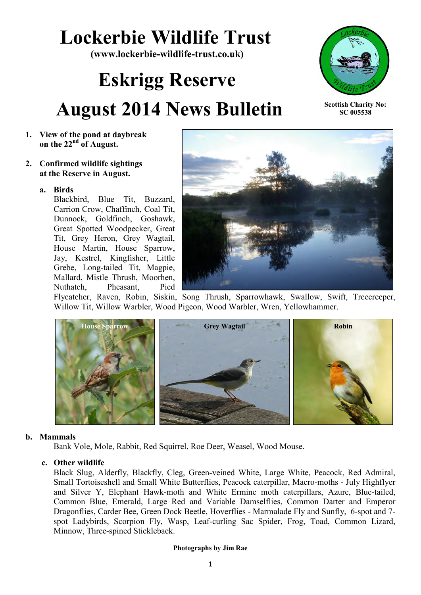## **Lockerbie Wildlife Trust**

**(www.lockerbie-wildlife-trust.co.uk)** 

# **Eskrigg Reserve August 2014 News Bulletin**



**Scottish Charity No: SC 005538**

- **1. View of the pond at daybreak on the 22nd of August.**
- **2. Confirmed wildlife sightings at the Reserve in August.**

## **a. Birds**

Blackbird, Blue Tit, Buzzard, Carrion Crow, Chaffinch, Coal Tit, Dunnock, Goldfinch, Goshawk, Great Spotted Woodpecker, Great Tit, Grey Heron, Grey Wagtail, House Martin, House Sparrow, Jay, Kestrel, Kingfisher, Little Grebe, Long-tailed Tit, Magpie, Mallard, Mistle Thrush, Moorhen, Nuthatch, Pheasant, Pied



Flycatcher, Raven, Robin, Siskin, Song Thrush, Sparrowhawk, Swallow, Swift, Treecreeper, Willow Tit, Willow Warbler, Wood Pigeon, Wood Warbler, Wren, Yellowhammer.



## **b. Mammals**

Bank Vole, Mole, Rabbit, Red Squirrel, Roe Deer, Weasel, Wood Mouse.

## **c. Other wildlife**

Black Slug, Alderfly, Blackfly, Cleg, Green-veined White, Large White, Peacock, Red Admiral, Small Tortoiseshell and Small White Butterflies, Peacock caterpillar, Macro-moths - July Highflyer and Silver Y, Elephant Hawk-moth and White Ermine moth caterpillars, Azure, Blue-tailed, Common Blue, Emerald, Large Red and Variable Damselflies, Common Darter and Emperor Dragonflies, Carder Bee, Green Dock Beetle, Hoverflies - Marmalade Fly and Sunfly, 6-spot and 7 spot Ladybirds, Scorpion Fly, Wasp, Leaf-curling Sac Spider, Frog, Toad, Common Lizard, Minnow, Three-spined Stickleback.

#### **Photographs by Jim Rae**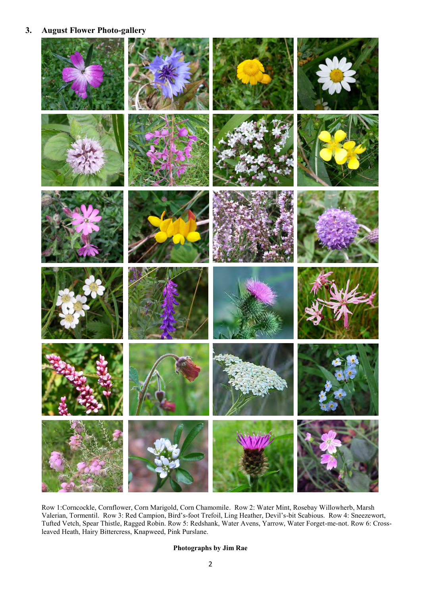## **3. August Flower Photo-gallery**



Row 1:Corncockle, Cornflower, Corn Marigold, Corn Chamomile. Row 2: Water Mint, Rosebay Willowherb, Marsh Valerian, Tormentil. Row 3: Red Campion, Bird's-foot Trefoil, Ling Heather, Devil's-bit Scabious. Row 4: Sneezewort, Tufted Vetch, Spear Thistle, Ragged Robin. Row 5: Redshank, Water Avens, Yarrow, Water Forget-me-not. Row 6: Crossleaved Heath, Hairy Bittercress, Knapweed, Pink Purslane.

#### **Photographs by Jim Rae**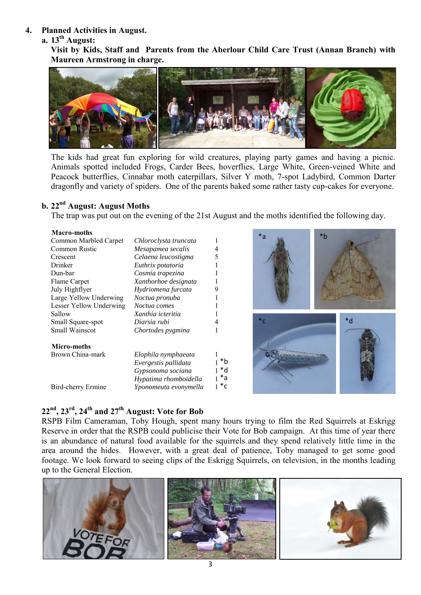#### **4. Planned Activities in August.**

## **a. 13th August:**

**Visit by Kids, Staff and Parents from the Aberlour Child Care Trust (Annan Branch) with Maureen Armstrong in charge.**



The kids had great fun exploring for wild creatures, playing party games and having a picnic. Animals spotted included Frogs, Carder Bees, hoverflies, Large White, Green-veined White and Peacock butterflies, Cinnabar moth caterpillars, Silver Y moth, 7-spot Ladybird, Common Darter dragonfly and variety of spiders. One of the parents baked some rather tasty cup-cakes for everyone.

## **b. 22nd August: August Moths**

The trap was put out on the evening of the 21st August and the moths identified the following day.

#### **Macro-moths**

| Common Marbled Carpet   | Chloroclysta truncata |       | a     |
|-------------------------|-----------------------|-------|-------|
| Common Rustic           | Mesapamea secalis     |       |       |
| Crescent                | Celaena leucostigma   | 5     |       |
| Drinker                 | Euthrix potatoria     |       |       |
| Dun-bar                 | Cosmia trapezina      |       |       |
| Flame Carpet            | Xanthorhoe designata  |       |       |
| July Highflyer          | Hydriomena furcata    | 9     |       |
| Large Yellow Underwing  | Noctua pronuba        |       |       |
| Lesser Yellow Underwing | Noctua comes          |       |       |
| Sallow                  | Xanthia icteritia     |       |       |
| Small Square-spot       | Diarsia rubi          |       | $^*c$ |
| Small Wainscot          | Chortodes pygmina     |       |       |
| Micro-moths             |                       |       |       |
| Brown China-mark        | Elophila nymphaeata   |       |       |
|                         | Evergestis pallidata  | *b    |       |
|                         | Gypsonoma sociana     | *d    |       |
|                         | Hypatima rhomboidella | *a    |       |
| Bird-cherry Ermine      | Yponomeuta evonymella | $^*c$ |       |
|                         |                       |       |       |



## **22nd, 23rd, 24th and 27th August: Vote for Bob**

RSPB Film Cameraman, Toby Hough, spent many hours trying to film the Red Squirrels at Eskrigg Reserve in order that the RSPB could publicise their Vote for Bob campaign. At this time of year there is an abundance of natural food available for the squirrels and they spend relatively little time in the area around the hides. However, with a great deal of patience, Toby managed to get some good footage. We look forward to seeing clips of the Eskrigg Squirrels, on television, in the months leading up to the General Election.

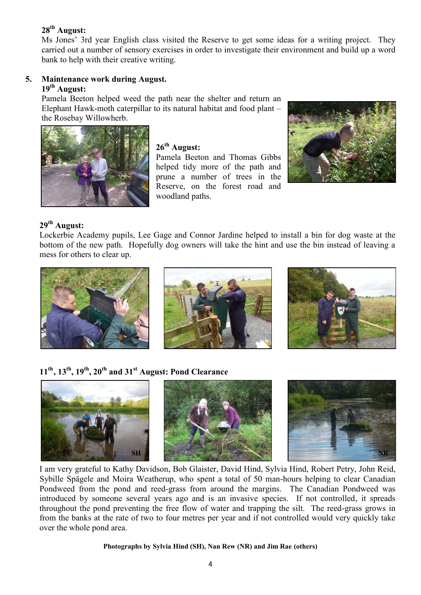## **28th August:**

Ms Jones' 3rd year English class visited the Reserve to get some ideas for a writing project. They carried out a number of sensory exercises in order to investigate their environment and build up a word bank to help with their creative writing.

#### **5. Maintenance work during August. 19th August:**

Pamela Beeton helped weed the path near the shelter and return an Elephant Hawk-moth caterpillar to its natural habitat and food plant – the Rosebay Willowherb.



## **26th August:**

Pamela Beeton and Thomas Gibbs helped tidy more of the path and prune a number of trees in the Reserve, on the forest road and woodland paths.



## **29th August:**

Lockerbie Academy pupils, Lee Gage and Connor Jardine helped to install a bin for dog waste at the bottom of the new path. Hopefully dog owners will take the hint and use the bin instead of leaving a mess for others to clear up.







## **11th , 13th, 19th , 20th and 31st August: Pond Clearance**



I am very grateful to Kathy Davidson, Bob Glaister, David Hind, Sylvia Hind, Robert Petry, John Reid, Sybille Spägele and Moira Weatherup, who spent a total of 50 man-hours helping to clear Canadian Pondweed from the pond and reed-grass from around the margins. The Canadian Pondweed was introduced by someone several years ago and is an invasive species. If not controlled, it spreads throughout the pond preventing the free flow of water and trapping the silt. The reed-grass grows in from the banks at the rate of two to four metres per year and if not controlled would very quickly take over the whole pond area.

#### **Photographs by Sylvia Hind (SH), Nan Rew (NR) and Jim Rae (others)**